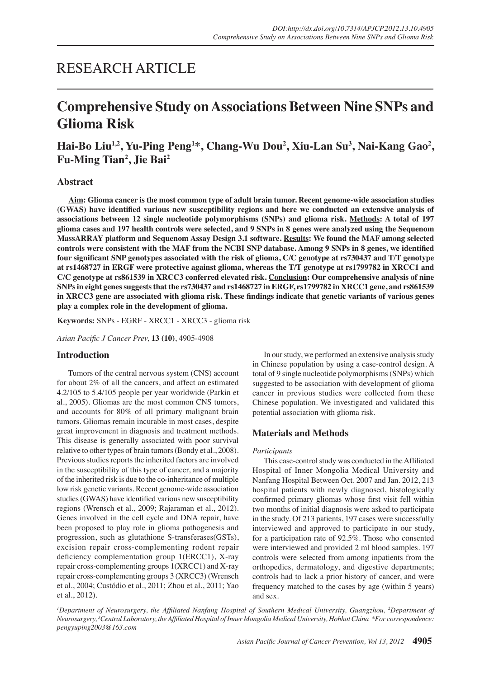# RESEARCH ARTICLE

# **Comprehensive Study on Associations Between Nine SNPs and Glioma Risk**

Hai-Bo Liu<sup>1,2</sup>, Yu-Ping Peng<sup>1\*</sup>, Chang-Wu Dou<sup>2</sup>, Xiu-Lan Su<sup>3</sup>, Nai-Kang Gao<sup>2</sup>, **Fu-Ming Tian<sup>2</sup> , Jie Bai2**

## **Abstract**

**Aim: Glioma cancer is the most common type of adult brain tumor. Recent genome-wide association studies (GWAS) have identified various new susceptibility regions and here we conducted an extensive analysis of associations between 12 single nucleotide polymorphisms (SNPs) and glioma risk. Methods: A total of 197 glioma cases and 197 health controls were selected, and 9 SNPs in 8 genes were analyzed using the Sequenom MassARRAY platform and Sequenom Assay Design 3.1 software. Results: We found the MAF among selected controls were consistent with the MAF from the NCBI SNP database. Among 9 SNPs in 8 genes, we identified four significant SNP genotypes associated with the risk of glioma, C/C genotype at rs730437 and T/T genotype at rs1468727 in ERGF were protective against glioma, whereas the T/T genotype at rs1799782 in XRCC1 and C/C genotype at rs861539 in XRCC3 conferred elevated risk. Conclusion: Our comprehensive analysis of nine SNPs in eight genes suggests that the rs730437 and rs1468727 in ERGF, rs1799782 in XRCC1 gene, and rs861539 in XRCC3 gene are associated with glioma risk. These findings indicate that genetic variants of various genes play a complex role in the development of glioma.**

**Keywords:** SNPs - EGRF - XRCC1 - XRCC3 - glioma risk

*Asian Pacific J Cancer Prev,* **13 (10)**, 4905-4908

## **Introduction**

Tumors of the central nervous system (CNS) account for about 2% of all the cancers, and affect an estimated 4.2/105 to 5.4/105 people per year worldwide (Parkin et al., 2005). Gliomas are the most common CNS tumors, and accounts for 80% of all primary malignant brain tumors. Gliomas remain incurable in most cases, despite great improvement in diagnosis and treatment methods. This disease is generally associated with poor survival relative to other types of brain tumors (Bondy et al., 2008). Previous studies reports the inherited factors are involved in the susceptibility of this type of cancer, and a majority of the inherited risk is due to the co-inheritance of multiple low risk genetic variants. Recent genome-wide association studies (GWAS) have identified various new susceptibility regions (Wrensch et al., 2009; Rajaraman et al., 2012). Genes involved in the cell cycle and DNA repair, have been proposed to play role in glioma pathogenesis and progression, such as glutathione S-transferases(GSTs), excision repair cross-complementing rodent repair deficiency complementation group 1(ERCC1), X-ray repair cross-complementing groups 1(XRCC1) and X-ray repair cross-complementing groups 3 (XRCC3) (Wrensch et al., 2004; Custódio et al., 2011; Zhou et al., 2011; Yao et al., 2012).

In our study, we performed an extensive analysis study in Chinese population by using a case-control design. A total of 9 single nucleotide polymorphisms (SNPs) which suggested to be association with development of glioma cancer in previous studies were collected from these Chinese population. We investigated and validated this potential association with glioma risk.

## **Materials and Methods**

### *Participants*

This case-control study was conducted in the Affiliated Hospital of Inner Mongolia Medical University and Nanfang Hospital Between Oct. 2007 and Jan. 2012, 213 hospital patients with newly diagnosed, histologically confirmed primary gliomas whose first visit fell within two months of initial diagnosis were asked to participate in the study. Of 213 patients, 197 cases were successfully interviewed and approved to participate in our study, for a participation rate of 92.5%. Those who consented were interviewed and provided 2 ml blood samples. 197 controls were selected from among inpatients from the orthopedics, dermatology, and digestive departments; controls had to lack a prior history of cancer, and were frequency matched to the cases by age (within 5 years) and sex.

<sup>*I*</sup> Department of Neurosurgery, the Affiliated Nanfang Hospital of Southern Medical University, Guangzhou, <sup>2</sup>Department of *Neurosurgery, <sup>3</sup> Central Laboratory, the Affiliated Hospital of Inner Mongolia Medical University, Hohhot China \*For correspondence: pengyuping2003@163.com*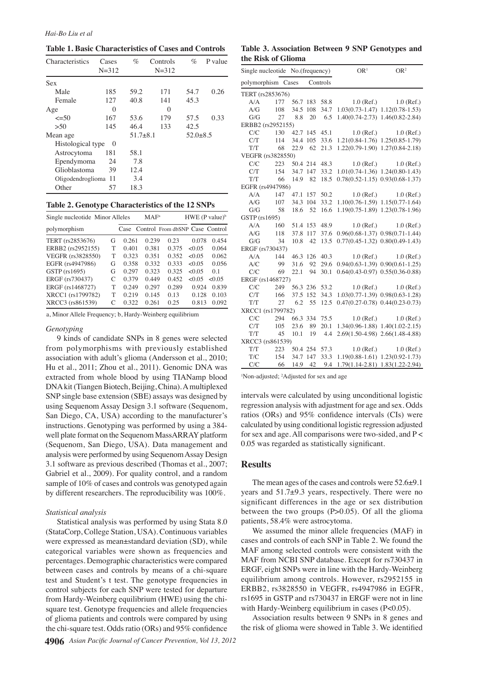**Table 1. Basic Characteristics of Cases and Controls**

| Characteristics      | Cases<br>$N = 312$ | $\%$         | Controls<br>$N = 312$ | %            | P value |
|----------------------|--------------------|--------------|-----------------------|--------------|---------|
| Sex                  |                    |              |                       |              |         |
| Male                 | 185                | 59.2         | 171                   | 54.7         | 0.26    |
| Female               | 127                | 40.8         | 141                   | 45.3         |         |
| Age                  | $\Omega$           |              | $\Omega$              |              |         |
| $\leq 50$            | 167                | 53.6         | 179                   | 57.5         | 0.33    |
| >50                  | 145                | 46.4         | 133                   | 42.5         |         |
| Mean age             |                    | $51.7 + 8.1$ |                       | $52.0 + 8.5$ |         |
| Histological type    | $\Omega$           |              |                       |              |         |
| Astrocytoma          | 181                | 58.1         |                       |              |         |
| Ependymoma           | 24                 | 7.8          |                       |              |         |
| Glioblastoma         | 39                 | 12.4         |                       |              |         |
| Oligodendroglioma 11 |                    | 3.4          |                       |              |         |
| Other                | 57                 | 18.3         |                       |              |         |

| Single nucleotide Minor Alleles |   |       | MAF <sup>a</sup> |                                      | $HWE$ (P value) <sup>b</sup> |        |
|---------------------------------|---|-------|------------------|--------------------------------------|------------------------------|--------|
| polymorphism                    |   |       |                  | Case Control From dbSNP Case Control |                              |        |
| TERT (rs2853676)                | G | 0.261 | 0.239            | 0.23                                 | 0.078                        | 0.454  |
| ERBB2 (rs2952155)               | т | 0.401 | 0.381            | 0.375                                | < 0.05                       | 0.064  |
| VEGFR (rs3828550)               | т | 0.323 | 0.351            | 0.352                                | < 0.05                       | 0.062  |
| EGFR (rs4947986)                | G | 0.358 | 0.332            | 0.333                                | < 0.05                       | 0.056  |
| GSTP (rs1695)                   | G | 0.297 | 0.323            | 0.325                                | < 0.05                       | 0.1    |
| ERGF (rs730437)                 | C | 0.379 | 0.449            | 0.452                                | < 0.05                       | < 0.05 |
| ERGF (rs1468727)                | T | 0.249 | 0.297            | 0.289                                | 0.924                        | 0.839  |
| XRCC1 (rs1799782)               | T | 0.219 | 0.145            | 0.13                                 | 0.128                        | 0.103  |
| XRCC3 (rs861539)                | C | 0.322 | 0.261            | 0.25                                 | 0.813                        | 0.092  |

a, Minor Allele Frequency; b, Hardy-Weinberg equilibrium

#### *Genotyping*

9 kinds of candidate SNPs in 8 genes were selected from polymorphisms with previously established association with adult's glioma (Andersson et al., 2010; Hu et al., 2011; Zhou et al., 2011). Genomic DNA was extracted from whole blood by using TIANamp blood DNA kit (Tiangen Biotech, Beijing, China). A multiplexed SNP single base extension (SBE) assays was designed by using Sequenom Assay Design 3.1 software (Sequenom, San Diego, CA, USA) according to the manufacturer's instructions. Genotyping was performed by using a 384 well plate format on the Sequenom MassARRAY platform (Sequenom, San Diego, USA). Data management and analysis were performed by using Sequenom Assay Design 3.1 software as previous described (Thomas et al., 2007; Gabriel et al., 2009). For quality control, and a random sample of 10% of cases and controls was genotyped again by different researchers. The reproducibility was 100%.

#### *Statistical analysis*

Statistical analysis was performed by using Stata 8.0 (StataCorp, College Station, USA). Continuous variables were expressed as mean±standard deviation (SD), while categorical variables were shown as frequencies and percentages. Demographic characteristics were compared between cases and controls by means of a chi-square test and Student's t test. The genotype frequencies in control subjects for each SNP were tested for departure from Hardy-Weinberg equilibrium (HWE) using the chisquare test. Genotype frequencies and allele frequencies of glioma patients and controls were compared by using the chi-square test. Odds ratio (ORs) and 95% confidence

| Table 3. Association Between 9 SNP Genotypes and |  |  |  |
|--------------------------------------------------|--|--|--|
| the Risk of Glioma                               |  |  |  |

|                    | Single nucleotide No.(frequency) |          | OR <sup>1</sup> | OR <sup>2</sup> |              |                                         |  |
|--------------------|----------------------------------|----------|-----------------|-----------------|--------------|-----------------------------------------|--|
| polymorphism Cases |                                  |          |                 | Controls        |              |                                         |  |
| TERT (rs2853676)   |                                  |          |                 |                 |              |                                         |  |
| A/A                | 177                              |          | 56.7 183        | 58.8            | $1.0$ (Ref.) | $1.0$ (Ref.)                            |  |
| A/G                | 108                              | 34.5     | 108             | 34.7            |              | $1.03(0.73-1.47)$ $1.12(0.78-1.53)$     |  |
| G/G                | 27                               | 8.8      | 20              | 6.5             |              | 1.40(0.74-2.73) 1.46(0.82-2.84)         |  |
| ERBB2 (rs2952155)  |                                  |          |                 |                 |              |                                         |  |
| C/C                | 130                              | 42.7 145 |                 | 45.1            | $1.0$ (Ref.) | $1.0$ (Ref.)                            |  |
| C/T                | 114                              | 34.4 105 |                 | 33.6            |              | 1.21(0.84-1.76) 1.25(0.85-1.79)         |  |
| T/T                | 68                               | 22.9     | 62              | 21.3            |              | 1.22(0.79-1.90) 1.27(0.84-2.18)         |  |
| VEGFR (rs3828550)  |                                  |          |                 |                 |              |                                         |  |
| C/C                | 223                              |          | 50.4 214        | 48.3            | $1.0$ (Ref.) | $1.0$ (Ref.)                            |  |
| C/T                | 154                              |          | 34.7 147        | 33.2            |              | $1.01(0.74-1.36)$ $1.24(0.80-1.43)$     |  |
| T/T                | 66                               | 14.9     | 82              | 18.5            |              | $0.78(0.52 - 1.15)$ $0.93(0.68 - 1.37)$ |  |
| EGFR (rs4947986)   |                                  |          |                 |                 |              |                                         |  |
| A/A                | 147                              | 47.1     | 157             | 50.2            | $1.0$ (Ref.) | $1.0$ (Ref.)                            |  |
| A/G                | 107                              | 34.3 104 |                 | 33.2            |              | $1.10(0.76-1.59)$ $1.15(0.77-1.64)$     |  |
| G/G                | 58                               | 18.6     | 52              | 16.6            |              | 1.19(0.75-1.89) 1.23(0.78-1.96)         |  |
| GSTP (rs1695)      |                                  |          |                 |                 |              |                                         |  |
| A/A                | 160                              |          | 51.4 153        | 48.9            |              | $1.0$ (Ref.) $1.0$ (Ref.)               |  |
| A/G                | 118                              | 37.8     | 117             | 37.6            |              | $0.96(0.68-1.37)$ $0.98(0.71-1.44)$     |  |
| G/G                | 34                               | 10.8     | 42              | 13.5            |              | $0.77(0.45-1.32)$ $0.80(0.49-1.43)$     |  |
| ERGF (rs730437)    |                                  |          |                 |                 |              |                                         |  |
| A/A                | 144                              | 46.3 126 |                 | 40.3            | $1.0$ (Ref.) | $1.0$ (Ref.)                            |  |
| A/C                | 99                               | 31.6     | 92              | 29.6            |              | $0.94(0.63 - 1.39) 0.90(0.61 - 1.25)$   |  |
| C/C                | 69                               | 22.1     | 94              | 30.1            |              | $0.64(0.43-0.97)$ $0.55(0.36-0.88)$     |  |
| ERGF (rs1468727)   |                                  |          |                 |                 |              |                                         |  |
| C/C                | 249                              |          | 56.3 236        | 53.2            |              | $1.0$ (Ref.) $1.0$ (Ref.)               |  |
| C/T                | 166                              | 37.5 152 |                 | 34.3            |              | $1.03(0.77-1.39)$ $0.98(0.63-1.28)$     |  |
| T/T                | 27                               | 6.2      | 55              | 12.5            |              | $0.47(0.27-0.78)$ $0.44(0.23-0.73)$     |  |
| XRCC1 (rs1799782)  |                                  |          |                 |                 |              |                                         |  |
| C/C                | 294                              |          |                 | 66.3 334 75.5   |              | $1.0$ (Ref.) $1.0$ (Ref.)               |  |
| C/T                | 105                              | 23.6     | 89              | 20.1            |              | $1.34(0.96 - 1.88)$ $1.40(1.02 - 2.15)$ |  |
| T/T                | 45                               | 10.1     | 19              | 4.4             |              | 2.69(1.50-4.98) 2.66(1.48-4.88)         |  |
| XRCC3 (rs861539)   |                                  |          |                 |                 |              |                                         |  |
| T/T                | 223                              |          | 50.4 254        | 57.3            | $1.0$ (Ref.) | $1.0$ (Ref.)                            |  |
| T/C                | 154                              | 34.7 147 |                 | 33.3            |              | $1.19(0.88 - 1.61)$ $1.23(0.92 - 1.73)$ |  |
| C/C                | 66                               | 14.9     | 42              | 9.4             |              | 1.79(1.14-2.81) 1.83(1.22-2.94)         |  |

<sup>1</sup>Non-adjusted; <sup>2</sup>Adjusted for sex and age

intervals were calculated by using unconditional logistic regression analysis with adjustment for age and sex. Odds ratios (ORs) and 95% confidence intervals (CIs) were calculated by using conditional logistic regression adjusted for sex and age. All comparisons were two-sided, and P < 0.05 was regarded as statistically significant.

### **Results**

The mean ages of the cases and controls were 52.6±9.1 years and 51.7±9.3 years, respectively. There were no significant differences in the age or sex distribution between the two groups  $(P>0.05)$ . Of all the glioma patients, 58.4% were astrocytoma.

We assumed the minor allele frequencies (MAF) in cases and controls of each SNP in Table 2. We found the MAF among selected controls were consistent with the MAF from NCBI SNP database. Except for rs730437 in ERGF, eight SNPs were in line with the Hardy-Weinberg equilibrium among controls. However, rs2952155 in ERBB2, rs3828550 in VEGFR, rs4947986 in EGFR, rs1695 in GSTP and rs730437 in ERGF were not in line with Hardy-Weinberg equilibrium in cases (P<0.05).

Association results between 9 SNPs in 8 genes and the risk of glioma were showed in Table 3. We identified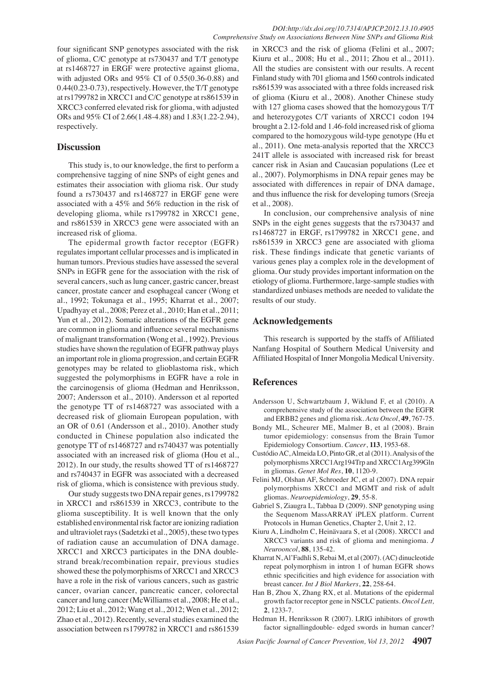four significant SNP genotypes associated with the risk of glioma, C/C genotype at rs730437 and T/T genotype at rs1468727 in ERGF were protective against glioma, with adjusted ORs and 95% CI of 0.55(0.36-0.88) and 0.44(0.23-0.73), respectively. However, the T/T genotype at rs1799782 in XRCC1 and C/C genotype at rs861539 in XRCC3 conferred elevated risk for glioma, with adjusted ORs and 95% CI of 2.66(1.48-4.88) and 1.83(1.22-2.94), respectively.

# **Discussion**

This study is, to our knowledge, the first to perform a comprehensive tagging of nine SNPs of eight genes and estimates their association with glioma risk. Our study found a rs730437 and rs1468727 in ERGF gene were associated with a 45% and 56% reduction in the risk of developing glioma, while rs1799782 in XRCC1 gene, and rs861539 in XRCC3 gene were associated with an increased risk of glioma.

The epidermal growth factor receptor (EGFR) regulates important cellular processes and is implicated in human tumors. Previous studies have assessed the several SNPs in EGFR gene for the association with the risk of several cancers, such as lung cancer, gastric cancer, breast cancer, prostate cancer and esophageal cancer (Wong et al., 1992; Tokunaga et al., 1995; Kharrat et al., 2007; Upadhyay et al., 2008; Perez et al., 2010; Han et al., 2011; Yun et al., 2012). Somatic alterations of the EGFR gene are common in glioma and influence several mechanisms of malignant transformation (Wong et al., 1992). Previous studies have shown the regulation of EGFR pathway plays an important role in glioma progression, and certain EGFR genotypes may be related to glioblastoma risk, which suggested the polymorphisms in EGFR have a role in the carcinogensis of glioma (Hedman and Henriksson, 2007; Andersson et al., 2010). Andersson et al reported the genotype TT of rs1468727 was associated with a decreased risk of gliomain European population, with an OR of 0.61 (Andersson et al., 2010). Another study conducted in Chinese population also indicated the genotype TT of rs1468727 and rs740437 was potentially associated with an increased risk of glioma (Hou et al., 2012). In our study, the results showed TT of rs1468727 and rs740437 in EGFR was associated with a decreased risk of glioma, which is consistence with previous study.

Our study suggests two DNA repair genes, rs1799782 in XRCC1 and rs861539 in XRCC3, contribute to the glioma susceptibility. It is well known that the only established environmental risk factor are ionizing radiation and ultraviolet rays (Sadetzki et al., 2005), these two types of radiation cause an accumulation of DNA damage. XRCC1 and XRCC3 participates in the DNA doublestrand break/recombination repair, previous studies showed these the polymorphisms of XRCC1 and XRCC3 have a role in the risk of various cancers, such as gastric cancer, ovarian cancer, pancreatic cancer, colorectal cancer and lung cancer (McWilliams et al., 2008; He et al., 2012; Liu et al., 2012; Wang et al., 2012; Wen et al., 2012; Zhao et al., 2012). Recently, several studies examined the association between rs1799782 in XRCC1 and rs861539

in XRCC3 and the risk of glioma (Felini et al., 2007; Kiuru et al., 2008; Hu et al., 2011; Zhou et al., 2011). All the studies are consistent with our results. A recent Finland study with 701 glioma and 1560 controls indicated rs861539 was associated with a three folds increased risk of glioma (Kiuru et al., 2008). Another Chinese study with 127 glioma cases showed that the homozygous T/T and heterozygotes C/T variants of XRCC1 codon 194 brought a 2.12-fold and 1.46-fold increased risk of glioma compared to the homozygous wild-type genotype (Hu et al., 2011). One meta-analysis reported that the XRCC3 241T allele is associated with increased risk for breast cancer risk in Asian and Caucasian populations (Lee et al., 2007). Polymorphisms in DNA repair genes may be associated with differences in repair of DNA damage, and thus influence the risk for developing tumors (Sreeja et al., 2008).

In conclusion, our comprehensive analysis of nine SNPs in the eight genes suggests that the rs730437 and rs1468727 in ERGF, rs1799782 in XRCC1 gene, and rs861539 in XRCC3 gene are associated with glioma risk. These findings indicate that genetic variants of various genes play a complex role in the development of glioma. Our study provides important information on the etiology of glioma. Furthermore, large-sample studies with standardized unbiases methods are needed to validate the results of our study.

## **Acknowledgements**

This research is supported by the staffs of Affiliated Nanfang Hospital of Southern Medical University and Affiliated Hospital of Inner Mongolia Medical University.

## **References**

- Andersson U, Schwartzbaum J, Wiklund F, et al (2010). A comprehensive study of the association between the EGFR and ERBB2 genes and glioma risk. *Acta Oncol*, **49**, 767-75.
- Bondy ML, Scheurer ME, Malmer B, et al (2008). Brain tumor epidemiology: consensus from the Brain Tumor Epidemiology Consortium. *Cancer*, **113**, 1953-68.
- Custódio AC, Almeida LO, Pinto GR, et al (2011). Analysis of the polymorphisms XRCC1Arg194Trp and XRCC1Arg399Gln in gliomas. *Genet Mol Res*, **10**, 1120-9.
- Felini MJ, Olshan AF, Schroeder JC, et al (2007). DNA repair polymorphisms XRCC1 and MGMT and risk of adult gliomas. *Neuroepidemiology*, **29**, 55-8.
- Gabriel S, Ziaugra L, Tabbaa D (2009). SNP genotyping using the Sequenom MassARRAY iPLEX platform. Current Protocols in Human Genetics, Chapter 2, Unit 2, 12.
- Kiuru A, Lindholm C, Heinävaara S, et al (2008). XRCC1 and XRCC3 variants and risk of glioma and meningioma. *J Neurooncol*, **88**, 135-42.
- Kharrat N, Al'Fadhli S, Rebai M, et al (2007). (AC) dinucleotide repeat polymorphism in intron 1 of human EGFR shows ethnic specificities and high evidence for association with breast cancer. *Int J Biol Markers*, **22**, 258-64.
- Han B, Zhou X, Zhang RX, et al. Mutations of the epidermal growth factor receptor gene in NSCLC patients. *Oncol Lett,* **2**, 1233-7.
- Hedman H, Henriksson R (2007). LRIG inhibitors of growth factor signallingdouble- edged swords in human cancer?